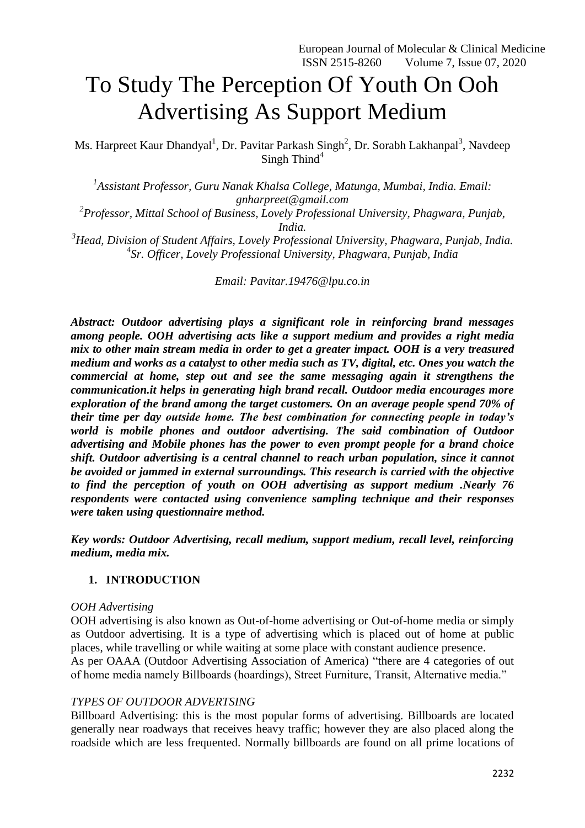# To Study The Perception Of Youth On Ooh Advertising As Support Medium

Ms. Harpreet Kaur Dhandyal<sup>1</sup>, Dr. Pavitar Parkash Singh<sup>2</sup>, Dr. Sorabh Lakhanpal<sup>3</sup>, Navdeep Singh Thind<sup>4</sup>

*1 Assistant Professor, Guru Nanak Khalsa College, Matunga, Mumbai, India. Email: gnharpreet@gmail.com*

*2 Professor, Mittal School of Business, Lovely Professional University, Phagwara, Punjab, India.*

*<sup>3</sup>Head, Division of Student Affairs, Lovely Professional University, Phagwara, Punjab, India. 4 Sr. Officer, Lovely Professional University, Phagwara, Punjab, India*

*Email: [Pavitar.19476@lpu.co.in](mailto:Pavitar.19476@lpu.co.in)*

*Abstract: Outdoor advertising plays a significant role in reinforcing brand messages among people. OOH advertising acts like a support medium and provides a right media mix to other main stream media in order to get a greater impact. OOH is a very treasured medium and works as a catalyst to other media such as TV, digital, etc. Ones you watch the commercial at home, step out and see the same messaging again it strengthens the communication.it helps in generating high brand recall. Outdoor media encourages more exploration of the brand among the target customers. On an average people spend 70% of their time per day outside home. The best combination for connecting people in today's*  world is mobile phones and outdoor advertising. The said combination of Outdoor *advertising and Mobile phones has the power to even prompt people for a brand choice shift. Outdoor advertising is a central channel to reach urban population, since it cannot be avoided or jammed in external surroundings. This research is carried with the objective to find the perception of youth on OOH advertising as support medium .Nearly 76 respondents were contacted using convenience sampling technique and their responses were taken using questionnaire method.*

*Key words: Outdoor Advertising, recall medium, support medium, recall level, reinforcing medium, media mix.*

#### **1. INTRODUCTION**

#### *OOH Advertising*

OOH advertising is also known as Out-of-home advertising or Out-of-home media or simply as Outdoor advertising. It is a type of advertising which is placed out of home at public places, while travelling or while waiting at some place with constant audience presence. As per OAAA (Outdoor Advertising Association of America) "there are 4 categories of out of home media namely Billboards (hoardings), Street Furniture, Transit, Alternative media."

# *TYPES OF OUTDOOR ADVERTSING*

Billboard Advertising: this is the most popular forms of advertising. Billboards are located generally near roadways that receives heavy traffic; however they are also placed along the roadside which are less frequented. Normally billboards are found on all prime locations of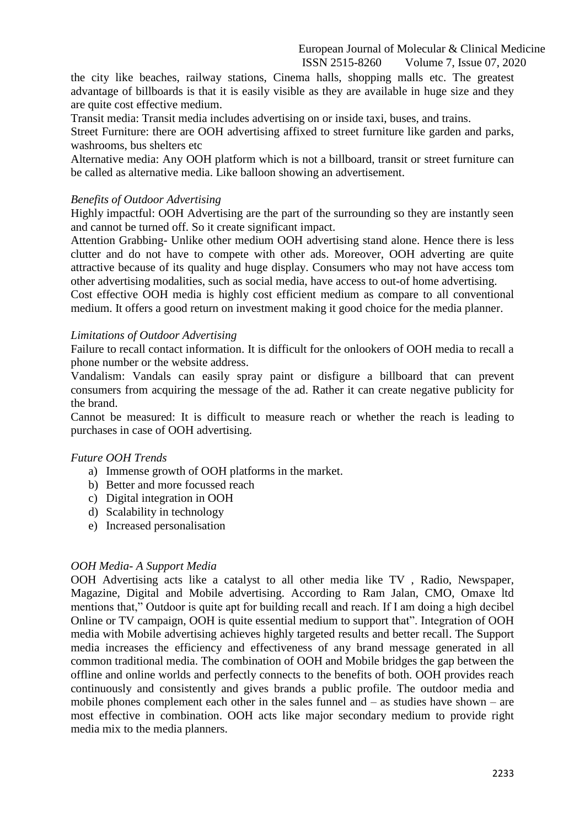the city like beaches, railway stations, Cinema halls, shopping malls etc. The greatest advantage of billboards is that it is easily visible as they are available in huge size and they are quite cost effective medium.

Transit media: Transit media includes advertising on or inside taxi, buses, and trains.

Street Furniture: there are OOH advertising affixed to street furniture like garden and parks, washrooms, bus shelters etc

Alternative media: Any OOH platform which is not a billboard, transit or street furniture can be called as alternative media. Like balloon showing an advertisement.

### *Benefits of Outdoor Advertising*

Highly impactful: OOH Advertising are the part of the surrounding so they are instantly seen and cannot be turned off. So it create significant impact.

Attention Grabbing- Unlike other medium OOH advertising stand alone. Hence there is less clutter and do not have to compete with other ads. Moreover, OOH adverting are quite attractive because of its quality and huge display. Consumers who may not have access tom other advertising modalities, such as social media, have access to out-of home advertising.

Cost effective OOH media is highly cost efficient medium as compare to all conventional medium. It offers a good return on investment making it good choice for the media planner.

#### *Limitations of Outdoor Advertising*

Failure to recall contact information. It is difficult for the onlookers of OOH media to recall a phone number or the website address.

Vandalism: Vandals can easily spray paint or disfigure a billboard that can prevent consumers from acquiring the message of the ad. Rather it can create negative publicity for the brand.

Cannot be measured: It is difficult to measure reach or whether the reach is leading to purchases in case of OOH advertising.

#### *Future OOH Trends*

- a) Immense growth of OOH platforms in the market.
- b) Better and more focussed reach
- c) Digital integration in OOH
- d) Scalability in technology
- e) Increased personalisation

#### *OOH Media- A Support Media*

OOH Advertising acts like a catalyst to all other media like TV , Radio, Newspaper, Magazine, Digital and Mobile advertising. According to Ram Jalan, CMO, Omaxe ltd mentions that," Outdoor is quite apt for building recall and reach. If I am doing a high decibel Online or TV campaign, OOH is quite essential medium to support that". Integration of OOH media with Mobile advertising achieves highly targeted results and better recall. The Support media increases the efficiency and effectiveness of any brand message generated in all common traditional media. The combination of OOH and Mobile bridges the gap between the offline and online worlds and perfectly connects to the benefits of both. OOH provides reach continuously and consistently and gives brands a public profile. The outdoor media and mobile phones complement each other in the sales funnel and – as studies have shown – are most effective in combination. OOH acts like major secondary medium to provide right media mix to the media planners.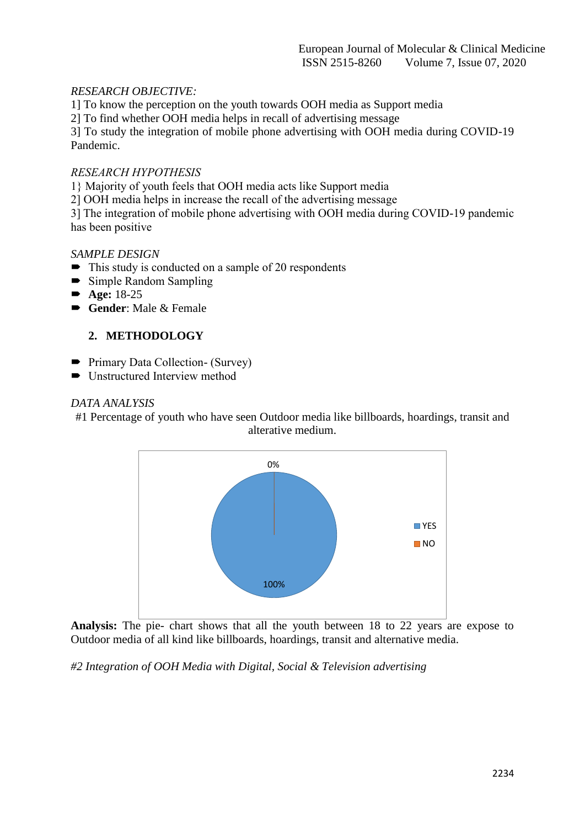# *RESEARCH OBJECTIVE:*

1] To know the perception on the youth towards OOH media as Support media

2] To find whether OOH media helps in recall of advertising message

3] To study the integration of mobile phone advertising with OOH media during COVID-19 Pandemic.

## *RESEARCH HYPOTHESIS*

1} Majority of youth feels that OOH media acts like Support media

2] OOH media helps in increase the recall of the advertising message

3] The integration of mobile phone advertising with OOH media during COVID-19 pandemic has been positive

### *SAMPLE DESIGN*

- $\blacksquare$  This study is conducted on a sample of 20 respondents
- Simple Random Sampling
- Age: 18-25
- Gender: Male & Female

# **2. METHODOLOGY**

- Primary Data Collection- (Survey)
- $\blacksquare$  Unstructured Interview method

### *DATA ANALYSIS*

#1 Percentage of youth who have seen Outdoor media like billboards, hoardings, transit and alterative medium.



**Analysis:** The pie- chart shows that all the youth between 18 to 22 years are expose to Outdoor media of all kind like billboards, hoardings, transit and alternative media.

*#2 Integration of OOH Media with Digital, Social & Television advertising*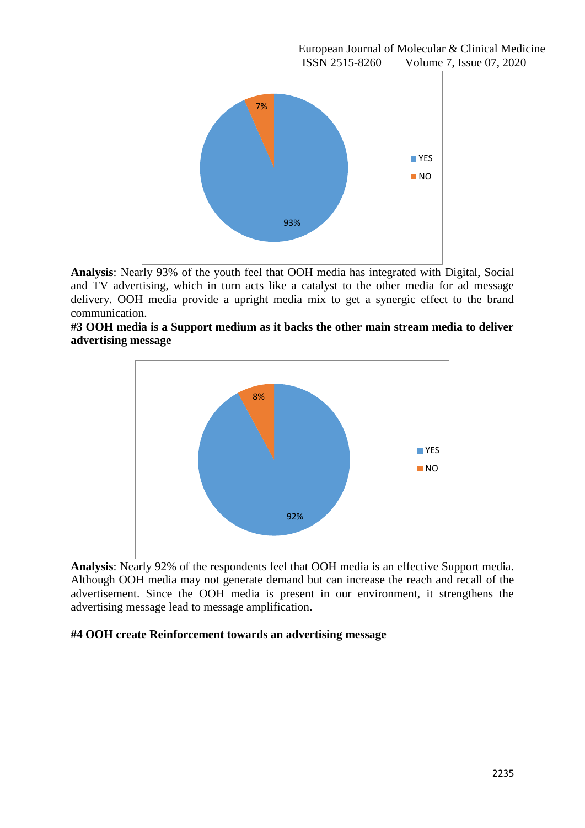

**Analysis**: Nearly 93% of the youth feel that OOH media has integrated with Digital, Social and TV advertising, which in turn acts like a catalyst to the other media for ad message delivery. OOH media provide a upright media mix to get a synergic effect to the brand communication.





**Analysis**: Nearly 92% of the respondents feel that OOH media is an effective Support media. Although OOH media may not generate demand but can increase the reach and recall of the advertisement. Since the OOH media is present in our environment, it strengthens the advertising message lead to message amplification.

#### **#4 OOH create Reinforcement towards an advertising message**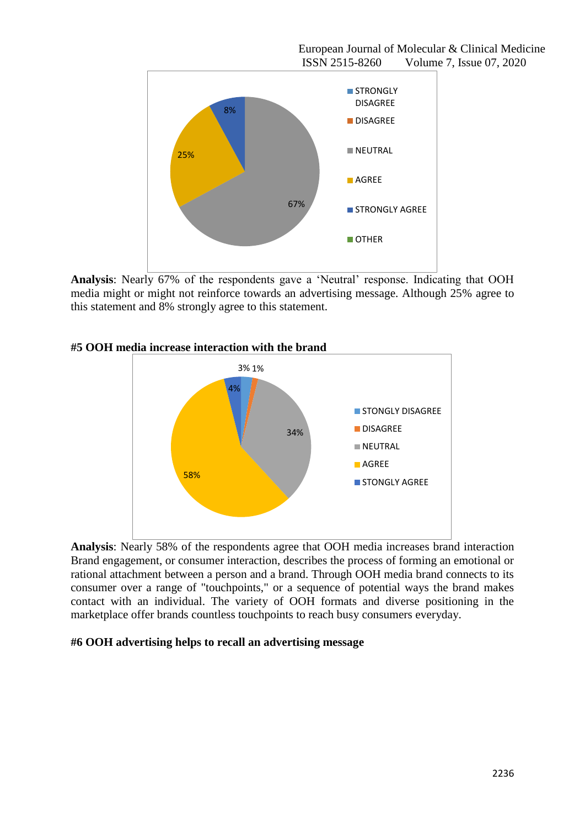

**Analysis**: Nearly 67% of the respondents gave a "Neutral" response. Indicating that OOH media might or might not reinforce towards an advertising message. Although 25% agree to this statement and 8% strongly agree to this statement.





**Analysis**: Nearly 58% of the respondents agree that OOH media increases brand interaction Brand engagement, or consumer interaction, describes the process of forming an emotional or rational attachment between a person and a brand. Through OOH media brand connects to its consumer over a range of "touchpoints," or a sequence of potential ways the brand makes contact with an individual. The variety of OOH formats and diverse positioning in the marketplace offer brands countless touchpoints to reach busy consumers everyday.

# **#6 OOH advertising helps to recall an advertising message**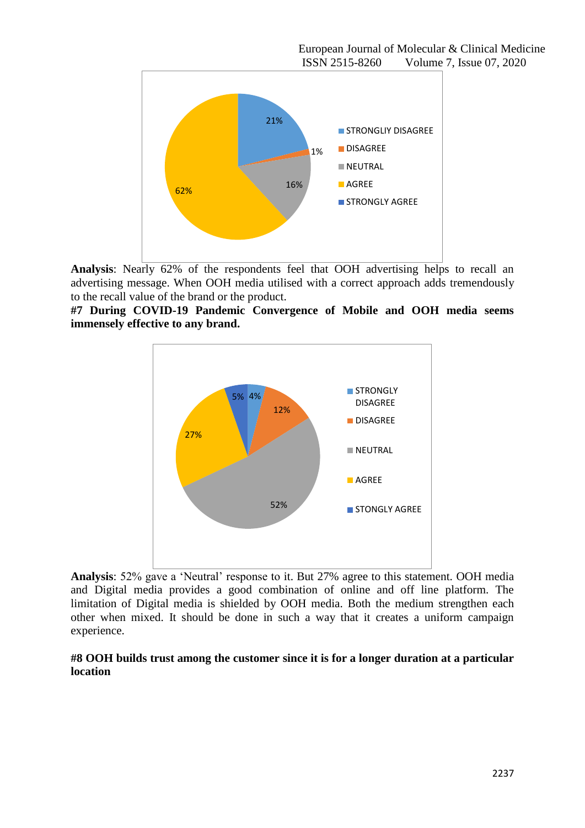European Journal of Molecular & Clinical Medicine ISSN 2515-8260 Volume 7, Issue 07, 2020



**Analysis**: Nearly 62% of the respondents feel that OOH advertising helps to recall an advertising message. When OOH media utilised with a correct approach adds tremendously to the recall value of the brand or the product.





**Analysis**: 52% gave a "Neutral" response to it. But 27% agree to this statement. OOH media and Digital media provides a good combination of online and off line platform. The limitation of Digital media is shielded by OOH media. Both the medium strengthen each other when mixed. It should be done in such a way that it creates a uniform campaign experience.

### **#8 OOH builds trust among the customer since it is for a longer duration at a particular location**